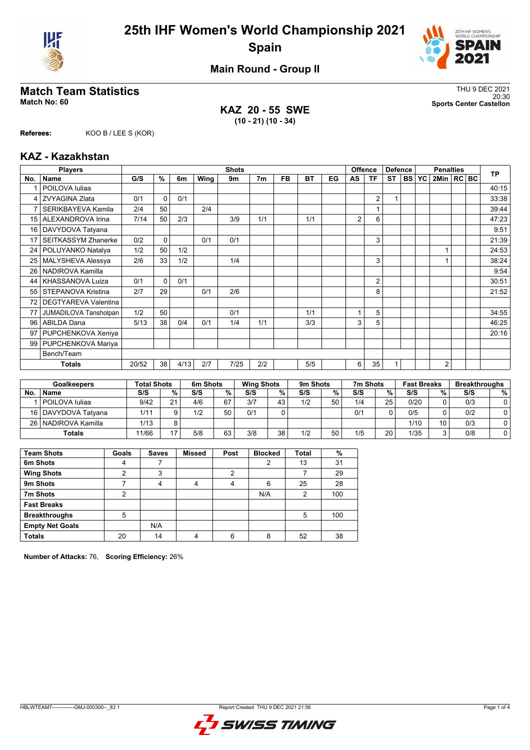



**Main Round - Group II**

## **Match Team Statistics** Thus and the set of the set of the set of the set of the set of the set of the set of the set of the set of the set of the set of the set of the set of the set of the set of the set of the set of th

**KAZ 20 - 55 SWE (10 - 21) (10 - 34)**

20:30 **Match No: 60 Sports Center Castellon**

**Referees:** KOO B / LEE S (KOR)

### **KAZ - Kazakhstan**

|                 | <b>Players</b>              |       | <b>Shots</b> |      |      |      |                |           |           |    |                |                | <b>Offence</b><br><b>Defence</b> |           | <b>Penalties</b> |                |  |  | <b>TP</b> |
|-----------------|-----------------------------|-------|--------------|------|------|------|----------------|-----------|-----------|----|----------------|----------------|----------------------------------|-----------|------------------|----------------|--|--|-----------|
| No.             | Name                        | G/S   | %            | 6m   | Wing | 9m   | 7 <sub>m</sub> | <b>FB</b> | <b>BT</b> | EG | AS             | ΤF             | <b>ST</b>                        | <b>BS</b> | YC               | 2Min   RC BC   |  |  |           |
|                 | POILOVA Iuliaa              |       |              |      |      |      |                |           |           |    |                |                |                                  |           |                  |                |  |  | 40:15     |
| 4               | <b>ZVYAGINA Zlata</b>       | 0/1   | $\Omega$     | 0/1  |      |      |                |           |           |    |                | $\overline{2}$ |                                  |           |                  |                |  |  | 33:38     |
| 7               | SERIKBAYEVA Kamila          | 2/4   | 50           |      | 2/4  |      |                |           |           |    |                |                |                                  |           |                  |                |  |  | 39:44     |
| 15              | ALEXANDROVA Irina           | 7/14  | 50           | 2/3  |      | 3/9  | 1/1            |           | 1/1       |    | $\overline{2}$ | 6              |                                  |           |                  |                |  |  | 47:23     |
| 16              | DAVYDOVA Tatyana            |       |              |      |      |      |                |           |           |    |                |                |                                  |           |                  |                |  |  | 9:51      |
| 17              | <b>SEITKASSYM Zhanerke</b>  | 0/2   | $\Omega$     |      | 0/1  | 0/1  |                |           |           |    |                | 3              |                                  |           |                  |                |  |  | 21:39     |
| 24 <sup>1</sup> | POLUYANKO Natalya           | 1/2   | 50           | 1/2  |      |      |                |           |           |    |                |                |                                  |           |                  |                |  |  | 24:53     |
| 25              | MALYSHEVA Alessya           | 2/6   | 33           | 1/2  |      | 1/4  |                |           |           |    |                | 3              |                                  |           |                  |                |  |  | 38:24     |
| 26              | NADIROVA Kamilla            |       |              |      |      |      |                |           |           |    |                |                |                                  |           |                  |                |  |  | 9:54      |
| 44              | KHASSANOVA Luiza            | 0/1   | $\Omega$     | 0/1  |      |      |                |           |           |    |                | $\overline{2}$ |                                  |           |                  |                |  |  | 30:51     |
| 55              | STEPANOVA Kristina          | 2/7   | 29           |      | 0/1  | 2/6  |                |           |           |    |                | 8              |                                  |           |                  |                |  |  | 21:52     |
| 72              | <b>DEGTYAREVA Valentina</b> |       |              |      |      |      |                |           |           |    |                |                |                                  |           |                  |                |  |  |           |
| 77              | JUMADILOVA Tansholpan       | 1/2   | 50           |      |      | 0/1  |                |           | 1/1       |    |                | 5              |                                  |           |                  |                |  |  | 34:55     |
| 96              | <b>ABILDA Dana</b>          | 5/13  | 38           | 0/4  | 0/1  | 1/4  | 1/1            |           | 3/3       |    | 3              | 5              |                                  |           |                  |                |  |  | 46:25     |
| 97              | PUPCHENKOVA Xeniya          |       |              |      |      |      |                |           |           |    |                |                |                                  |           |                  |                |  |  | 20:16     |
| 99              | PUPCHENKOVA Mariya          |       |              |      |      |      |                |           |           |    |                |                |                                  |           |                  |                |  |  |           |
|                 | Bench/Team                  |       |              |      |      |      |                |           |           |    |                |                |                                  |           |                  |                |  |  |           |
|                 | <b>Totals</b>               | 20/52 | 38           | 4/13 | 2/7  | 7/25 | 2/2            |           | 5/5       |    | 6              | 35             |                                  |           |                  | $\overline{2}$ |  |  |           |

|           | <b>Goalkeepers</b>    | <b>Total Shots</b> |    | 6m Shots |    | <b>Wing Shots</b> |    | 9m Shots |    | 7m Shots |    | <b>Fast Breaks</b> |        | <b>Breakthroughs</b> |   |
|-----------|-----------------------|--------------------|----|----------|----|-------------------|----|----------|----|----------|----|--------------------|--------|----------------------|---|
| <b>No</b> | <b>Name</b>           | S/S                | %  | S/S      | %  | S/S               | %  | S/S      | %  | S/S      | %  | S/S                | %      | S/S                  | % |
|           | l POILOVA Iuliaa      | 9/42               | 21 | 4/6      | 67 | 3/7               | 43 | 1/2      | 50 | 1/4      | 25 | 0/20               |        | 0/3                  |   |
|           | 16   DAVYDOVA Tatvana | 1/11               |    | 1/2      | 50 | 0/1               |    |          |    | 0/1      |    | 0/5                |        | 0/2                  |   |
|           | 26   NADIROVA Kamilla | 1/13               |    |          |    |                   |    |          |    |          |    | 1/10               | 10     | 0/3                  |   |
|           | <b>Totals</b>         | 11/66              | 17 | 5/8      | 63 | 3/8               | 38 | 1/2      | 50 | 1/5      | 20 | 1/35               | $\sim$ | 0/8                  |   |

| <b>Team Shots</b>      | Goals          | <b>Saves</b> | <b>Missed</b> | Post | <b>Blocked</b> | <b>Total</b> | %   |
|------------------------|----------------|--------------|---------------|------|----------------|--------------|-----|
| 6m Shots               | 4              |              |               |      | 2              | 13           | 31  |
| <b>Wing Shots</b>      | າ              | 3            |               | 2    |                |              | 29  |
| 9m Shots               |                | 4            | 4             | 4    | 6              | 25           | 28  |
| 7m Shots               | $\overline{2}$ |              |               |      | N/A            | 2            | 100 |
| <b>Fast Breaks</b>     |                |              |               |      |                |              |     |
| <b>Breakthroughs</b>   | 5              |              |               |      |                | 5            | 100 |
| <b>Empty Net Goals</b> |                | N/A          |               |      |                |              |     |
| <b>Totals</b>          | 20             | 14           | 4             | 6    | 8              | 52           | 38  |

**Number of Attacks:** 76, **Scoring Efficiency:** 26%

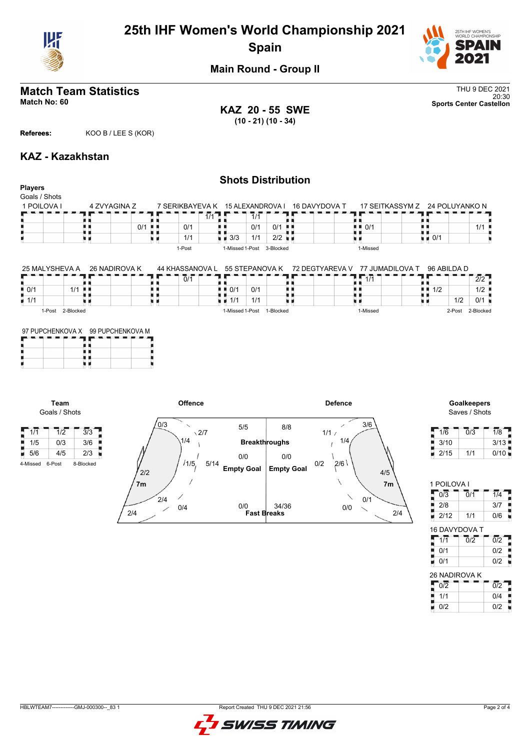

# **25th IHF Women's World Championship 2021 Spain**



**Main Round - Group II**

# **Match Team Statistics** Thu 9 DEC 2021

**KAZ 20 - 55 SWE (10 - 21) (10 - 34)**

**Shots Distribution**

20:30 **Match No: 60 Sports Center Castellon**

### **Referees:** KOO B / LEE S (KOR)

### **KAZ - Kazakhstan**

#### **Players** Goals / Shots 17 SEITKASSYM Z 1 POILOVA I 4 ZVYAGINA Z 24 POLUYANKO N 7 SERIKBAYEVA K 15 ALEXANDROVA I  $\mathbf{L}$ п  $\frac{1}{1/1}$  $7/1$ 89, FR<br>**0/1**<br>4 D O/1 A, ji k A A ņ 机电 0/1 真正 0/1 真真  $0/1$  0/1  $\blacksquare$  $\frac{1}{1}$   $\frac{1}{1}$  0/1 1/1 п 1/1  $\frac{1}{2}$  3/3 1/1 2/2  $\frac{1}{2}$ u e υø u a 1-Post 1-Missed 1-Post 3-Blocked 1-Missed 72 DEGTYAREVA V 77 JUMADILOVA T  $25$  Malys  $\frac{25}{25}$  $26$  NADIROVA K 44 KHASSANOVA L  $55.6753100161616$ 96 ABILDA D

| 25 MALYSHEVA A     | -26 NADIROVA K | 44 KHASSANOVA L | . 55 STEPANOVA K          | 72 DEGIYAREVA V | 77 JUMADILOVA I | 96 ABILDA D |           |
|--------------------|----------------|-----------------|---------------------------|-----------------|-----------------|-------------|-----------|
|                    |                | 0/1             |                           |                 |                 |             | 2/2       |
| $\blacksquare$ 0/1 | 1/1<br>. .     |                 | 0/1<br>$\blacksquare$ 0/1 |                 |                 | 1/2         | 1/2       |
| $\blacksquare$ 1/1 |                |                 | 111<br>1/1                |                 |                 | 1/2         | 0/1       |
| í-Post             | 2-Blocked      |                 | 1-Missed 1-Post           | 1-Blocked       | 1-Missed        | 2-Post      | 2-Blocked |

|  | 97 PUPCHENKOVA X 99 PUPCHENKOVA M |  |  |  |  |  |  |  |
|--|-----------------------------------|--|--|--|--|--|--|--|
|  |                                   |  |  |  |  |  |  |  |
|  |                                   |  |  |  |  |  |  |  |
|  |                                   |  |  |  |  |  |  |  |

**Team** Goals / Shots



# Saves / Shots

| 1/6  | 0/3 | 1/8  |
|------|-----|------|
| 3/10 |     | 3/13 |
| 2/15 | 1/1 | 0/10 |

| 1 POILOVA I          |                  |                  |
|----------------------|------------------|------------------|
| 0/3                  | $\overline{0}/1$ | $\overline{1}/4$ |
| 2/8                  |                  | 3/7              |
| 2/12                 | 1/1              | 0/6              |
| <b>16 DAVYDOVA T</b> |                  |                  |
|                      |                  |                  |

| 0/1           | 0/2              |
|---------------|------------------|
| 0/1           | 0/2              |
| 26 NADIROVA K |                  |
| 0/2           | $\overline{0/2}$ |
| 1/1           | 0/4              |
|               |                  |

0/2 0/2

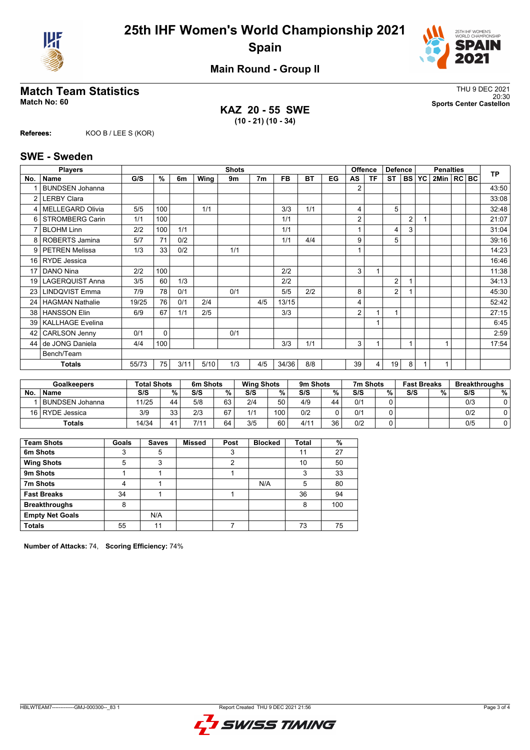



**Main Round - Group II**

## **Match Team Statistics** Thus and the set of the set of the set of the set of the set of the set of the set of the set of the set of the set of the set of the set of the set of the set of the set of the set of the set of th

**KAZ 20 - 55 SWE (10 - 21) (10 - 34)**

20:30 **Match No: 60 Sports Center Castellon**

**Referees:** KOO B / LEE S (KOR)

#### **SWE - Sweden**

|                 | <b>Players</b>          |       |          |      |      | <b>Shots</b> |                |           |           |    |    | <b>Offence</b> | <b>Defence</b>          |                | <b>Penalties</b> |                |  |  | <b>TP</b> |
|-----------------|-------------------------|-------|----------|------|------|--------------|----------------|-----------|-----------|----|----|----------------|-------------------------|----------------|------------------|----------------|--|--|-----------|
| No.             | <b>Name</b>             | G/S   | %        | 6m   | Wing | 9m           | 7 <sub>m</sub> | <b>FB</b> | <b>BT</b> | EG | AS | <b>TF</b>      | <b>ST</b>               | <b>BS</b>      | <b>YC</b>        | 2Min   RC   BC |  |  |           |
|                 | <b>BUNDSEN Johanna</b>  |       |          |      |      |              |                |           |           |    | 2  |                |                         |                |                  |                |  |  | 43:50     |
| 2               | <b>LERBY Clara</b>      |       |          |      |      |              |                |           |           |    |    |                |                         |                |                  |                |  |  | 33:08     |
| 4               | <b>MELLEGARD Olivia</b> | 5/5   | 100      |      | 1/1  |              |                | 3/3       | 1/1       |    | 4  |                | 5                       |                |                  |                |  |  | 32:48     |
| 6               | <b>STROMBERG Carin</b>  | 1/1   | 100      |      |      |              |                | 1/1       |           |    | 2  |                |                         | $\overline{2}$ |                  |                |  |  | 21:07     |
| 7               | <b>BLOHM Linn</b>       | 2/2   | 100      | 1/1  |      |              |                | 1/1       |           |    |    |                | $\overline{\mathbf{4}}$ | 3              |                  |                |  |  | 31:04     |
|                 | 8   ROBERTS Jamina      | 5/7   | 71       | 0/2  |      |              |                | 1/1       | 4/4       |    | 9  |                | 5                       |                |                  |                |  |  | 39:16     |
| 9               | <b>PETREN Melissa</b>   | 1/3   | 33       | 0/2  |      | 1/1          |                |           |           |    |    |                |                         |                |                  |                |  |  | 14:23     |
| 16              | <b>RYDE</b> Jessica     |       |          |      |      |              |                |           |           |    |    |                |                         |                |                  |                |  |  | 16:46     |
| 17              | DANO Nina               | 2/2   | 100      |      |      |              |                | 2/2       |           |    | 3  |                |                         |                |                  |                |  |  | 11:38     |
| 19              | <b>LAGERQUIST Anna</b>  | 3/5   | 60       | 1/3  |      |              |                | 2/2       |           |    |    |                | $\overline{2}$          |                |                  |                |  |  | 34:13     |
| 23              | <b>LINDQVIST Emma</b>   | 7/9   | 78       | 0/1  |      | 0/1          |                | 5/5       | 2/2       |    | 8  |                | $\overline{2}$          |                |                  |                |  |  | 45:30     |
| 24              | <b>HAGMAN Nathalie</b>  | 19/25 | 76       | 0/1  | 2/4  |              | 4/5            | 13/15     |           |    | 4  |                |                         |                |                  |                |  |  | 52:42     |
| 38 <sup>1</sup> | <b>HANSSON Elin</b>     | 6/9   | 67       | 1/1  | 2/5  |              |                | 3/3       |           |    | 2  |                | 1                       |                |                  |                |  |  | 27:15     |
| 39              | <b>KALLHAGE Evelina</b> |       |          |      |      |              |                |           |           |    |    |                |                         |                |                  |                |  |  | 6:45      |
| 42              | <b>CARLSON Jenny</b>    | 0/1   | $\Omega$ |      |      | 0/1          |                |           |           |    |    |                |                         |                |                  |                |  |  | 2:59      |
| 44              | de JONG Daniela         | 4/4   | 100      |      |      |              |                | 3/3       | 1/1       |    | 3  |                |                         |                |                  |                |  |  | 17:54     |
|                 | Bench/Team              |       |          |      |      |              |                |           |           |    |    |                |                         |                |                  |                |  |  |           |
|                 | <b>Totals</b>           | 55/73 | 75       | 3/11 | 5/10 | 1/3          | 4/5            | 34/36     | 8/8       |    | 39 | 4              | 19                      | 8              |                  |                |  |  |           |

|           | Goalkeepers     | <b>Total Shots</b> |          | 6m Shots |    | <b>Wing Shots</b> |     | 9m Shots |    | 7m Shots |   | <b>Fast Breaks</b> |   | <b>Breakthroughs</b> |   |
|-----------|-----------------|--------------------|----------|----------|----|-------------------|-----|----------|----|----------|---|--------------------|---|----------------------|---|
| <b>No</b> | <b>Name</b>     | S/S                | %        | S/S      | %  | S/S               | %   | S/S      | %  | S/S      | % | S/S                | % | S/S                  | % |
|           | BUNDSEN Johanna | 11/25              | 44       | 5/8      | 63 | 2/4               | 50  | 4/9      | 44 | 0/1      |   |                    |   | 0/3                  |   |
| 16 I      | RYDE Jessica    | 3/9                | วว<br>ບບ | 2/3      | 67 | 1/1               | 100 | 0/2      |    | 0/1      |   |                    |   | 0/2                  |   |
|           | Totals          | 14/34              |          | 7/11     | 64 | 3/5               | 60  | 4/11     | 36 | 0/2      |   |                    |   | 0/5                  |   |

| <b>Team Shots</b>      | Goals | <b>Saves</b> | <b>Missed</b> | Post | <b>Blocked</b> | Total | %   |
|------------------------|-------|--------------|---------------|------|----------------|-------|-----|
| 6m Shots               | 3     | 5            |               | 3    |                | 11    | 27  |
| <b>Wing Shots</b>      | 5     | 3            |               | 2    |                | 10    | 50  |
| 9m Shots               |       |              |               |      |                | 3     | 33  |
| 7m Shots               | 4     |              |               |      | N/A            | 5     | 80  |
| <b>Fast Breaks</b>     | 34    |              |               |      |                | 36    | 94  |
| <b>Breakthroughs</b>   | 8     |              |               |      |                | 8     | 100 |
| <b>Empty Net Goals</b> |       | N/A          |               |      |                |       |     |
| <b>Totals</b>          | 55    | 11           |               |      |                | 73    | 75  |

**Number of Attacks:** 74, **Scoring Efficiency:** 74%